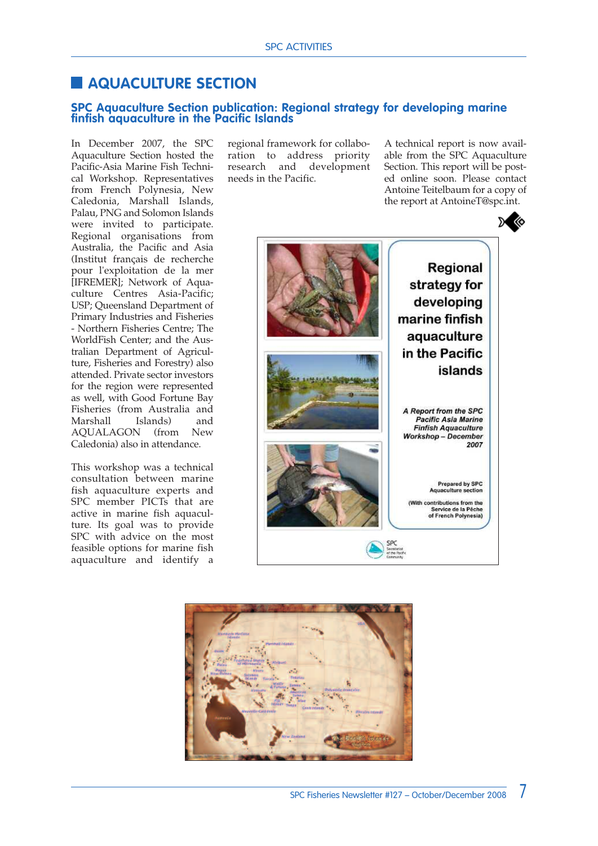# **AQUACULTURE SECTION**

## **SPC Aquaculture Section publication: Regional strategy for developing marine finfish aquaculture in the Pacific Islands**

In December 2007, the SPC Aquaculture Section hosted the Pacific-Asia Marine Fish Technical Workshop. Representatives from French Polynesia, New Caledonia, Marshall Islands, Palau, PNG and Solomon Islands were invited to participate. Regional organisations from Australia, the Pacific and Asia (Institut français de recherche pour l'exploitation de la mer [IFREMER]; Network of Aquaculture Centres Asia-Pacific; USP; Queensland Department of Primary Industries and Fisheries - Northern Fisheries Centre; The WorldFish Center; and the Australian Department of Agriculture, Fisheries and Forestry) also attended. Private sector investors for the region were represented as well, with Good Fortune Bay Fisheries (from Australia and Marshall Islands) and AQUALAGON (from New Caledonia) also in attendance.

This workshop was a technical consultation between marine fish aquaculture experts and SPC member PICTs that are active in marine fish aquaculture. Its goal was to provide SPC with advice on the most feasible options for marine fish aquaculture and identify a regional framework for collaboration to address priority research and development needs in the Pacific.

A technical report is now available from the SPC Aquaculture Section. This report will be posted online soon. Please contact Antoine Teitelbaum for a copy of the report at AntoineT@spc.int.



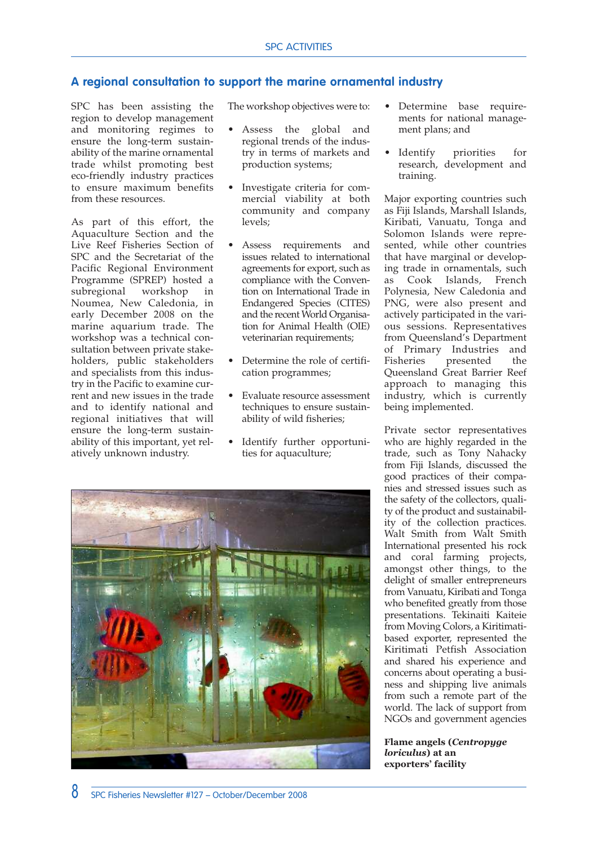# **A regional consultation to support the marine ornamental industry**

SPC has been assisting the region to develop management and monitoring regimes to ensure the long-term sustainability of the marine ornamental trade whilst promoting best eco-friendly industry practices to ensure maximum benefits from these resources.

As part of this effort, the Aquaculture Section and the Live Reef Fisheries Section of SPC and the Secretariat of the Pacific Regional Environment Programme (SPREP) hosted a subregional workshop in Noumea, New Caledonia, in early December 2008 on the marine aquarium trade. The workshop was a technical consultation between private stakeholders, public stakeholders and specialists from this industry in the Pacific to examine current and new issues in the trade and to identify national and regional initiatives that will ensure the long-term sustainability of this important, yet relatively unknown industry.

The workshop objectives were to:

- Assess the global and regional trends of the industry in terms of markets and production systems;
- Investigate criteria for commercial viability at both community and company levels;
- Assess requirements and issues related to international agreements for export, such as compliance with the Convention on International Trade in Endangered Species (CITES) and the recent World Organisation for Animal Health (OIE) veterinarian requirements;
- Determine the role of certification programmes;
- Evaluate resource assessment techniques to ensure sustainability of wild fisheries;
- Identify further opportunities for aquaculture;



- Determine base requirements for national management plans; and
- Identify priorities for research, development and training.

Major exporting countries such as Fiji Islands, Marshall Islands, Kiribati, Vanuatu, Tonga and Solomon Islands were represented, while other countries that have marginal or developing trade in ornamentals, such as Cook Islands, French Polynesia, New Caledonia and PNG, were also present and actively participated in the various sessions. Representatives from Queensland's Department of Primary Industries and Fisheries presented the Queensland Great Barrier Reef approach to managing this industry, which is currently being implemented.

Private sector representatives who are highly regarded in the trade, such as Tony Nahacky from Fiji Islands, discussed the good practices of their companies and stressed issues such as the safety of the collectors, quality of the product and sustainability of the collection practices. Walt Smith from Walt Smith International presented his rock and coral farming projects, amongst other things, to the delight of smaller entrepreneurs from Vanuatu, Kiribati and Tonga who benefited greatly from those presentations. Tekinaiti Kaiteie from Moving Colors, a Kiritimatibased exporter, represented the Kiritimati Petfish Association and shared his experience and concerns about operating a business and shipping live animals from such a remote part of the world. The lack of support from NGOs and government agencies

**Flame angels (***Centropyge loriculus***) at an exporters' facility**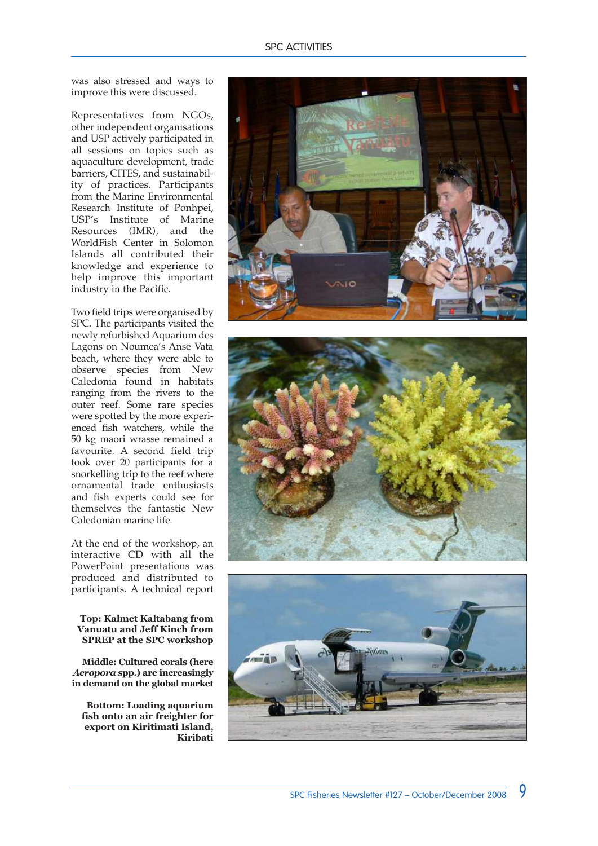was also stressed and ways to improve this were discussed.

Representatives from NGOs, other independent organisations and USP actively participated in all sessions on topics such as aquaculture development, trade barriers, CITES, and sustainability of practices. Participants from the Marine Environmental Research Institute of Ponhpei, USP's Institute of Marine Resources (IMR), and the WorldFish Center in Solomon Islands all contributed their knowledge and experience to help improve this important industry in the Pacific.

Two field trips were organised by SPC. The participants visited the newly refurbished Aquarium des Lagons on Noumea's Anse Vata beach, where they were able to observe species from New Caledonia found in habitats ranging from the rivers to the outer reef. Some rare species were spotted by the more experienced fish watchers, while the 50 kg maori wrasse remained a favourite. A second field trip took over 20 participants for a snorkelling trip to the reef where ornamental trade enthusiasts and fish experts could see for themselves the fantastic New Caledonian marine life.

At the end of the workshop, an interactive CD with all the PowerPoint presentations was produced and distributed to participants. A technical report

**Top: Kalmet Kaltabang from Vanuatu and Jeff Kinch from SPREP at the SPC workshop**

**Middle: Cultured corals (here** *Acropora* **spp.) are increasingly in demand on the global market**

**Bottom: Loading aquarium fish onto an air freighter for export on Kiritimati Island, Kiribati**





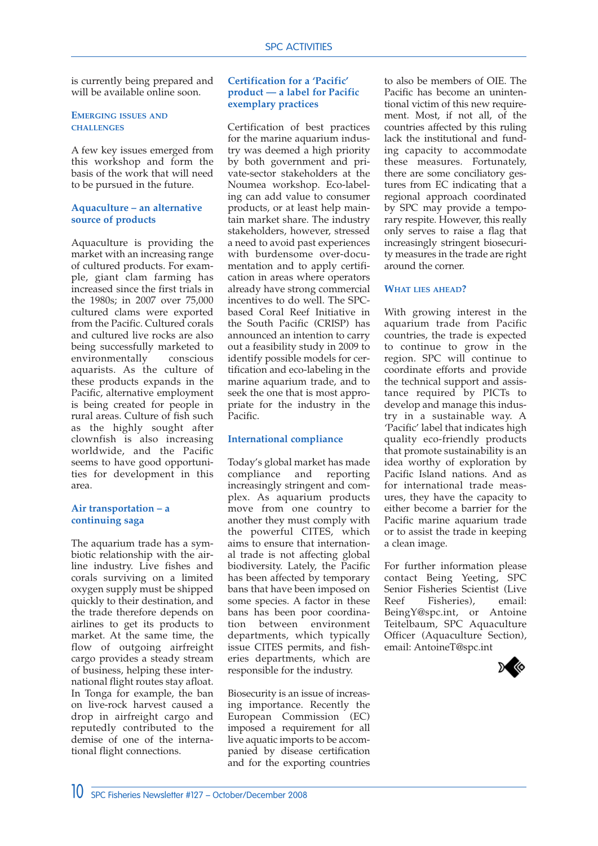is currently being prepared and will be available online soon.

### **EMERGING ISSUES AND CHALLENGES**

A few key issues emerged from this workshop and form the basis of the work that will need to be pursued in the future.

## **Aquaculture – an alternative source of products**

Aquaculture is providing the market with an increasing range of cultured products. For example, giant clam farming has increased since the first trials in the 1980s; in 2007 over 75,000 cultured clams were exported from the Pacific. Cultured corals and cultured live rocks are also being successfully marketed to environmentally conscious aquarists. As the culture of these products expands in the Pacific, alternative employment is being created for people in rural areas. Culture of fish such as the highly sought after clownfish is also increasing worldwide, and the Pacific seems to have good opportunities for development in this area.

## **Air transportation – a continuing saga**

The aquarium trade has a symbiotic relationship with the airline industry. Live fishes and corals surviving on a limited oxygen supply must be shipped quickly to their destination, and the trade therefore depends on airlines to get its products to market. At the same time, the flow of outgoing airfreight cargo provides a steady stream of business, helping these international flight routes stay afloat. In Tonga for example, the ban on live-rock harvest caused a drop in airfreight cargo and reputedly contributed to the demise of one of the international flight connections.

## **Certification for a 'Pacific' product — a label for Pacific exemplary practices**

Certification of best practices for the marine aquarium industry was deemed a high priority by both government and private-sector stakeholders at the Noumea workshop. Eco-labeling can add value to consumer products, or at least help maintain market share. The industry stakeholders, however, stressed a need to avoid past experiences with burdensome over-documentation and to apply certification in areas where operators already have strong commercial incentives to do well. The SPCbased Coral Reef Initiative in the South Pacific (CRISP) has announced an intention to carry out a feasibility study in 2009 to identify possible models for certification and eco-labeling in the marine aquarium trade, and to seek the one that is most appropriate for the industry in the Pacific.

## **International compliance**

Today's global market has made compliance and reporting increasingly stringent and complex. As aquarium products move from one country to another they must comply with the powerful CITES, which aims to ensure that international trade is not affecting global biodiversity. Lately, the Pacific has been affected by temporary bans that have been imposed on some species. A factor in these bans has been poor coordination between environment departments, which typically issue CITES permits, and fisheries departments, which are responsible for the industry.

Biosecurity is an issue of increasing importance. Recently the European Commission (EC) imposed a requirement for all live aquatic imports to be accompanied by disease certification and for the exporting countries

to also be members of OIE. The Pacific has become an unintentional victim of this new requirement. Most, if not all, of the countries affected by this ruling lack the institutional and funding capacity to accommodate these measures. Fortunately, there are some conciliatory gestures from EC indicating that a regional approach coordinated by SPC may provide a temporary respite. However, this really only serves to raise a flag that increasingly stringent biosecurity measures in the trade are right around the corner.

## **WHAT LIES AHEAD?**

With growing interest in the aquarium trade from Pacific countries, the trade is expected to continue to grow in the region. SPC will continue to coordinate efforts and provide the technical support and assistance required by PICTs to develop and manage this industry in a sustainable way. A 'Pacific' label that indicates high quality eco-friendly products that promote sustainability is an idea worthy of exploration by Pacific Island nations. And as for international trade measures, they have the capacity to either become a barrier for the Pacific marine aquarium trade or to assist the trade in keeping a clean image.

For further information please contact Being Yeeting, SPC Senior Fisheries Scientist (Live Reef Fisheries), email: BeingY@spc.int, or Antoine Teitelbaum, SPC Aquaculture Officer (Aquaculture Section), email: AntoineT@spc.int

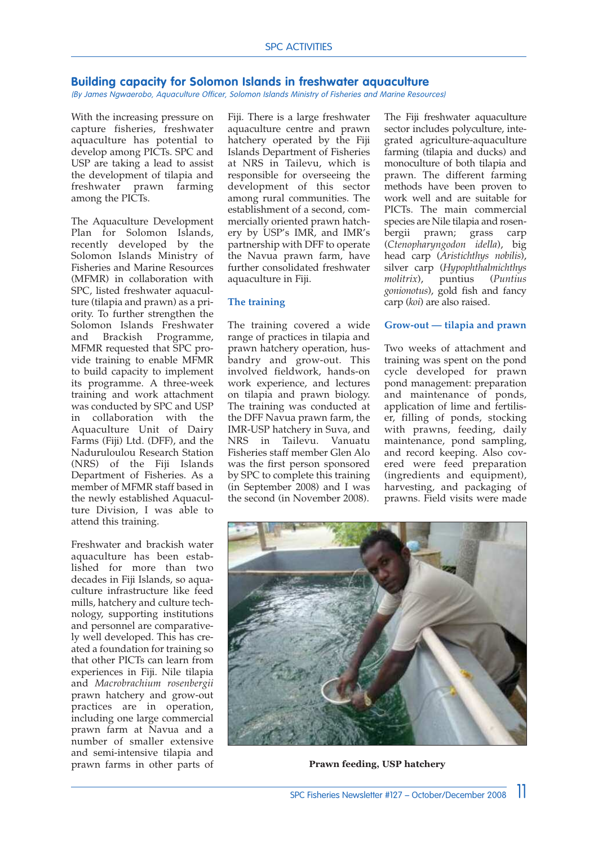## **Building capacity for Solomon Islands in freshwater aquaculture**

(By James Ngwaerobo, Aquaculture Officer, Solomon Islands Ministry of Fisheries and Marine Resources)

With the increasing pressure on capture fisheries, freshwater aquaculture has potential to develop among PICTs. SPC and USP are taking a lead to assist the development of tilapia and freshwater prawn farming among the PICTs.

The Aquaculture Development Plan for Solomon Islands, recently developed by the Solomon Islands Ministry of Fisheries and Marine Resources (MFMR) in collaboration with SPC, listed freshwater aquaculture (tilapia and prawn) as a priority. To further strengthen the Solomon Islands Freshwater and Brackish Programme, MFMR requested that SPC provide training to enable MFMR to build capacity to implement its programme. A three-week training and work attachment was conducted by SPC and USP in collaboration with the Aquaculture Unit of Dairy Farms (Fiji) Ltd. (DFF), and the Naduruloulou Research Station (NRS) of the Fiji Islands Department of Fisheries. As a member of MFMR staff based in the newly established Aquaculture Division, I was able to attend this training.

Freshwater and brackish water aquaculture has been established for more than two decades in Fiji Islands, so aquaculture infrastructure like feed mills, hatchery and culture technology, supporting institutions and personnel are comparatively well developed. This has created a foundation for training so that other PICTs can learn from experiences in Fiji. Nile tilapia and *Macrobrachium rosenbergii* prawn hatchery and grow-out practices are in operation, including one large commercial prawn farm at Navua and a number of smaller extensive and semi-intensive tilapia and prawn farms in other parts of

Fiji. There is a large freshwater aquaculture centre and prawn hatchery operated by the Fiji Islands Department of Fisheries at NRS in Tailevu, which is responsible for overseeing the development of this sector among rural communities. The establishment of a second, commercially oriented prawn hatchery by USP's IMR, and IMR's partnership with DFF to operate the Navua prawn farm, have further consolidated freshwater aquaculture in Fiji.

## **The training**

The training covered a wide range of practices in tilapia and prawn hatchery operation, husbandry and grow-out. This involved fieldwork, hands-on work experience, and lectures on tilapia and prawn biology. The training was conducted at the DFF Navua prawn farm, the IMR-USP hatchery in Suva, and NRS in Tailevu. Vanuatu Fisheries staff member Glen Alo was the first person sponsored by SPC to complete this training (in September 2008) and I was the second (in November 2008).

The Fiji freshwater aquaculture sector includes polyculture, integrated agriculture-aquaculture farming (tilapia and ducks) and monoculture of both tilapia and prawn. The different farming methods have been proven to work well and are suitable for PICTs. The main commercial species are Nile tilapia and rosenbergii prawn; grass carp (*Ctenopharyngodon idella*), big head carp (*Aristichthys nobilis*), silver carp (*Hypophthalmichthys molitrix*), puntius (*Puntius gonionotus*), gold fish and fancy carp (*koi*) are also raised.

## **Grow-out — tilapia and prawn**

Two weeks of attachment and training was spent on the pond cycle developed for prawn pond management: preparation and maintenance of ponds, application of lime and fertiliser, filling of ponds, stocking with prawns, feeding, daily maintenance, pond sampling, and record keeping. Also covered were feed preparation (ingredients and equipment), harvesting, and packaging of prawns. Field visits were made



**Prawn feeding, USP hatchery**